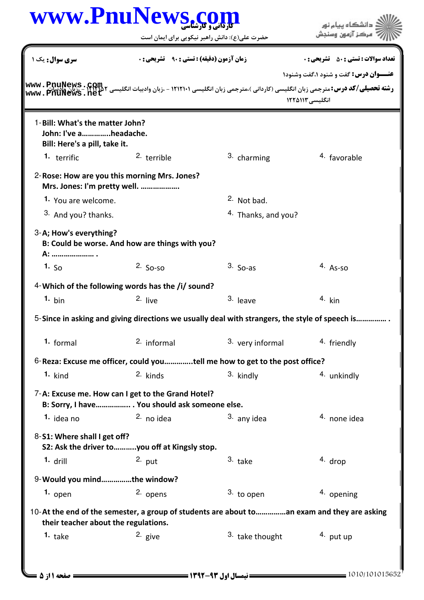## كارداني و كارشناسي **[www.PnuNews.com](http://www.PnuNews.com)**

حضرت علي(ع): دانش راهبر نيكويي براي ايمان است

| سری سوال: یک ۱                                                                                                                                                                                                                                    | <b>زمان آزمون (دقیقه) : تستی : ۹۰٪ تشریحی : 0</b> |                                | <b>تعداد سوالات : تستي : 50 ٪ تشريحي : 0</b><br><b>عنــوان درس:</b> گفت و شنود ۱،گفت وشنود۱ |
|---------------------------------------------------------------------------------------------------------------------------------------------------------------------------------------------------------------------------------------------------|---------------------------------------------------|--------------------------------|---------------------------------------------------------------------------------------------|
| رشته تحصیلی/کد درس:مترجمی زبان انگلیسی (کاردانی )،مترجمی زبان انگلیسی ۱۲۱۲۱۰۱ - ،زبان وادبیات انگلیسی ۲۸۲۲۲۲ - ۱۲۱۰۰۰ - ۱۳۷۳۰<br>دشته تحصیلی/کد درس:مترجمی زبان انگلیسی (کاردانی )،مترجمی زبان انگلیسی ۱۲۱۲۱۰۱ - ،زبان وادبیات ا<br>www.PniiNews. |                                                   | انگلیسی ۱۲۲۵۱۱۳                |                                                                                             |
| 1-Bill: What's the matter John?<br>John: I've aheadache.<br>Bill: Here's a pill, take it.                                                                                                                                                         |                                                   |                                |                                                                                             |
| 1. terrific                                                                                                                                                                                                                                       | 2. terrible                                       | 3. charming                    | 4. favorable                                                                                |
| 2- Rose: How are you this morning Mrs. Jones?<br>Mrs. Jones: I'm pretty well.                                                                                                                                                                     |                                                   |                                |                                                                                             |
| 1. You are welcome.                                                                                                                                                                                                                               |                                                   | 2. Not bad.                    |                                                                                             |
| 3. And you? thanks.                                                                                                                                                                                                                               |                                                   | <sup>4.</sup> Thanks, and you? |                                                                                             |
| 3-A; How's everything?<br>B: Could be worse. And how are things with you?<br>A:  .                                                                                                                                                                |                                                   |                                |                                                                                             |
| 1. $50$                                                                                                                                                                                                                                           | $2.$ So-so                                        | $3.$ So-as                     | $4. As-so$                                                                                  |
| 4-Which of the following words has the /i/ sound?                                                                                                                                                                                                 |                                                   |                                |                                                                                             |
| $1. \text{bin}$                                                                                                                                                                                                                                   | 2. live                                           | 3. leave                       | $4.$ kin                                                                                    |
| 5-Since in asking and giving directions we usually deal with strangers, the style of speech is                                                                                                                                                    |                                                   |                                |                                                                                             |
| 1. formal                                                                                                                                                                                                                                         | 2. informal                                       | 3. very informal               | 4. friendly                                                                                 |
| 6-Reza: Excuse me officer, could youtell me how to get to the post office?                                                                                                                                                                        |                                                   |                                |                                                                                             |
| $1.$ kind                                                                                                                                                                                                                                         | 2. kinds                                          | 3. kindly                      | 4. unkindly                                                                                 |
| 7-A: Excuse me. How can I get to the Grand Hotel?<br>B: Sorry, I have You should ask someone else.                                                                                                                                                |                                                   |                                |                                                                                             |
| 1. idea no                                                                                                                                                                                                                                        | 2. no idea                                        | 3. any idea                    | 4. none idea                                                                                |
| 8-S1: Where shall I get off?<br>S2: Ask the driver to    you off at Kingsly stop.                                                                                                                                                                 |                                                   |                                |                                                                                             |
| $1.$ drill                                                                                                                                                                                                                                        | $2.$ put                                          | $3.$ take                      | 4. drop                                                                                     |
| 9-Would you mindthe window?                                                                                                                                                                                                                       |                                                   |                                |                                                                                             |
| $1.$ open                                                                                                                                                                                                                                         | 2. opens                                          | 3. to open                     | 4. opening                                                                                  |
| 10-At the end of the semester, a group of students are about toan exam and they are asking<br>their teacher about the regulations.                                                                                                                |                                                   |                                |                                                                                             |
| 1. $take$                                                                                                                                                                                                                                         | 2. give                                           | 3. take thought                | $4.$ put up                                                                                 |

ے ۔<br>کا اللہ کا اس کا اور پیام نور<br>کا اللہ کا اس کے آزمون وسنجش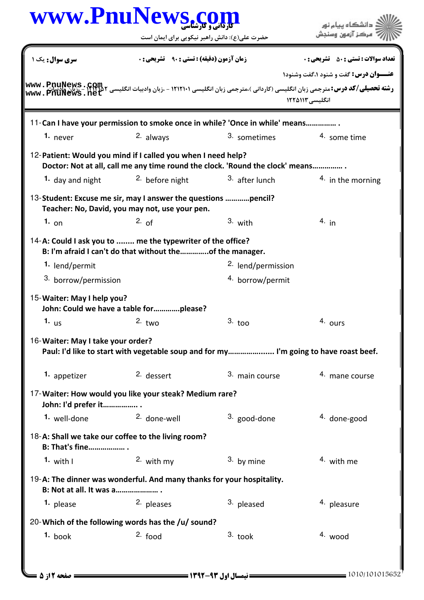| www.PnuNews.com                                                                                                 |                                                                                      |                                                              | دانشگاه ييام نور                             |
|-----------------------------------------------------------------------------------------------------------------|--------------------------------------------------------------------------------------|--------------------------------------------------------------|----------------------------------------------|
|                                                                                                                 | حضرت علی(ع): دانش راهبر نیکویی برای ایمان است                                        |                                                              | مركز آزمون وسنجش                             |
| سری سوال : یک ۱                                                                                                 | <b>زمان آزمون (دقیقه) : تستی : ۹۰٪ تشریحی: 0</b>                                     |                                                              | <b>تعداد سوالات : تستي : 50 ٪ تشريحي : 0</b> |
|                                                                                                                 |                                                                                      |                                                              | <b>عنــوان درس:</b> گفت و شنود ۱،گفت وشنود۱  |
|                                                                                                                 |                                                                                      |                                                              |                                              |
|                                                                                                                 |                                                                                      |                                                              | انگلیسی ۱۲۲۵۱۱۳                              |
| 11-Can I have your permission to smoke once in while? 'Once in while' means                                     |                                                                                      |                                                              |                                              |
| 1. never                                                                                                        | 2. always                                                                            | 3. sometimes                                                 | 4. some time                                 |
| 12-Patient: Would you mind if I called you when I need help?                                                    | Doctor: Not at all, call me any time round the clock. 'Round the clock' means        |                                                              |                                              |
| 1. day and night                                                                                                | 2. before night                                                                      | 3. after lunch                                               | 4. in the morning                            |
| 13-Student: Excuse me sir, may I answer the questions pencil?<br>Teacher: No, David, you may not, use your pen. |                                                                                      |                                                              |                                              |
| 1. $_{\text{on}}$                                                                                               | 2. of                                                                                | 3. with                                                      | $4.$ in                                      |
| 14-A: Could I ask you to  me the typewriter of the office?<br>1. lend/permit<br>3. borrow/permission            | B: I'm afraid I can't do that without theof the manager.                             | <sup>2.</sup> lend/permission<br><sup>4.</sup> borrow/permit |                                              |
| 15-Waiter: May I help you?<br>John: Could we have a table forplease?                                            |                                                                                      |                                                              |                                              |
| 1. $_{\text{us}}$                                                                                               | $2.$ two                                                                             | $3.~\text{too}$                                              | 4. ours                                      |
| 16-Waiter: May I take your order?                                                                               | Paul: I'd like to start with vegetable soup and for my I'm going to have roast beef. |                                                              |                                              |
| 1. appetizer                                                                                                    | 2. dessert                                                                           | 3. main course                                               | 4. mane course                               |
| 17-Waiter: How would you like your steak? Medium rare?<br>John: I'd prefer it                                   |                                                                                      |                                                              |                                              |
| 1. well-done                                                                                                    | 2. done-well                                                                         | 3. good-done                                                 | 4. done-good                                 |
| 18-A: Shall we take our coffee to the living room?<br><b>B: That's fine</b> .                                   |                                                                                      |                                                              |                                              |
| 1. with $\mathsf{I}$                                                                                            | 2. with my                                                                           | 3. by mine                                                   | 4. with me                                   |
| 19-A: The dinner was wonderful. And many thanks for your hospitality.<br>B: Not at all. It was a                |                                                                                      |                                                              |                                              |
| 1. please                                                                                                       | 2. pleases                                                                           | 3. pleased                                                   | <sup>4</sup> pleasure                        |
| 20-Which of the following words has the /u/ sound?                                                              |                                                                                      |                                                              |                                              |
| $1.$ book                                                                                                       | $2.$ food                                                                            | $3.$ took                                                    | 4. wood                                      |
|                                                                                                                 |                                                                                      |                                                              |                                              |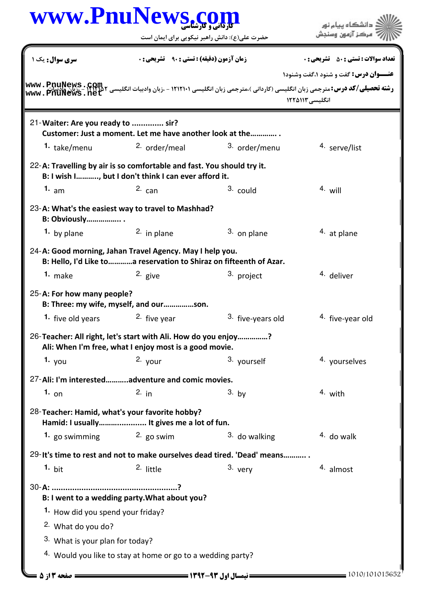| سری سوال : یک ۱<br><b>زمان آزمون (دقیقه) : تستی : ۹۰</b><br>21-Waiter: Are you ready to  sir?<br>Customer: Just a moment. Let me have another look at the<br><sup>2.</sup> order/meal<br>1. take/menu<br>22-A: Travelling by air is so comfortable and fast. You should try it.<br>B: I wish I, but I don't think I can ever afford it.<br>3. could<br>1. $am$<br>$2c$ can<br>23-A: What's the easiest way to travel to Mashhad?<br><b>B: Obviously</b> .<br><sup>2.</sup> in plane<br>1. by plane<br>24-A: Good morning, Jahan Travel Agency. May I help you.<br>B: Hello, I'd Like to a reservation to Shiraz on fifteenth of Azar.<br>1. $make$<br>2. give<br>3. project<br>25-A: For how many people?<br>B: Three: my wife, myself, and ourson.<br>1. five old years<br><sup>2.</sup> five year<br>26-Teacher: All right, let's start with Ali. How do you enjoy?<br>Ali: When I'm free, what I enjoy most is a good movie.<br>1. $you$<br>$2.$ your<br>3. yourself<br>27-Ali: I'm interestedadventure and comic movies.<br>$3.$ by<br>1. $_{0n}$<br>$2.$ in<br>28-Teacher: Hamid, what's your favorite hobby? | <b>تعداد سوالات : تستي : 50 ٪ تشريحي : 0</b><br><b>عنــوان درس:</b> گفت و شنود ۱،گفت وشنود۱<br>انگلیسی ۱۲۲۵۱۱۳<br>3. order/menu<br>4. serve/list<br>$4.$ will<br>3. on plane<br>4. at plane<br>4. deliver |
|--------------------------------------------------------------------------------------------------------------------------------------------------------------------------------------------------------------------------------------------------------------------------------------------------------------------------------------------------------------------------------------------------------------------------------------------------------------------------------------------------------------------------------------------------------------------------------------------------------------------------------------------------------------------------------------------------------------------------------------------------------------------------------------------------------------------------------------------------------------------------------------------------------------------------------------------------------------------------------------------------------------------------------------------------------------------------------------------------------------------|-----------------------------------------------------------------------------------------------------------------------------------------------------------------------------------------------------------|
|                                                                                                                                                                                                                                                                                                                                                                                                                                                                                                                                                                                                                                                                                                                                                                                                                                                                                                                                                                                                                                                                                                                    |                                                                                                                                                                                                           |
|                                                                                                                                                                                                                                                                                                                                                                                                                                                                                                                                                                                                                                                                                                                                                                                                                                                                                                                                                                                                                                                                                                                    |                                                                                                                                                                                                           |
|                                                                                                                                                                                                                                                                                                                                                                                                                                                                                                                                                                                                                                                                                                                                                                                                                                                                                                                                                                                                                                                                                                                    |                                                                                                                                                                                                           |
|                                                                                                                                                                                                                                                                                                                                                                                                                                                                                                                                                                                                                                                                                                                                                                                                                                                                                                                                                                                                                                                                                                                    |                                                                                                                                                                                                           |
|                                                                                                                                                                                                                                                                                                                                                                                                                                                                                                                                                                                                                                                                                                                                                                                                                                                                                                                                                                                                                                                                                                                    |                                                                                                                                                                                                           |
|                                                                                                                                                                                                                                                                                                                                                                                                                                                                                                                                                                                                                                                                                                                                                                                                                                                                                                                                                                                                                                                                                                                    |                                                                                                                                                                                                           |
|                                                                                                                                                                                                                                                                                                                                                                                                                                                                                                                                                                                                                                                                                                                                                                                                                                                                                                                                                                                                                                                                                                                    |                                                                                                                                                                                                           |
|                                                                                                                                                                                                                                                                                                                                                                                                                                                                                                                                                                                                                                                                                                                                                                                                                                                                                                                                                                                                                                                                                                                    |                                                                                                                                                                                                           |
|                                                                                                                                                                                                                                                                                                                                                                                                                                                                                                                                                                                                                                                                                                                                                                                                                                                                                                                                                                                                                                                                                                                    |                                                                                                                                                                                                           |
|                                                                                                                                                                                                                                                                                                                                                                                                                                                                                                                                                                                                                                                                                                                                                                                                                                                                                                                                                                                                                                                                                                                    |                                                                                                                                                                                                           |
|                                                                                                                                                                                                                                                                                                                                                                                                                                                                                                                                                                                                                                                                                                                                                                                                                                                                                                                                                                                                                                                                                                                    |                                                                                                                                                                                                           |
|                                                                                                                                                                                                                                                                                                                                                                                                                                                                                                                                                                                                                                                                                                                                                                                                                                                                                                                                                                                                                                                                                                                    |                                                                                                                                                                                                           |
|                                                                                                                                                                                                                                                                                                                                                                                                                                                                                                                                                                                                                                                                                                                                                                                                                                                                                                                                                                                                                                                                                                                    | 3. five-years old<br>4. five-year old                                                                                                                                                                     |
|                                                                                                                                                                                                                                                                                                                                                                                                                                                                                                                                                                                                                                                                                                                                                                                                                                                                                                                                                                                                                                                                                                                    |                                                                                                                                                                                                           |
|                                                                                                                                                                                                                                                                                                                                                                                                                                                                                                                                                                                                                                                                                                                                                                                                                                                                                                                                                                                                                                                                                                                    | 4. yourselves                                                                                                                                                                                             |
|                                                                                                                                                                                                                                                                                                                                                                                                                                                                                                                                                                                                                                                                                                                                                                                                                                                                                                                                                                                                                                                                                                                    |                                                                                                                                                                                                           |
|                                                                                                                                                                                                                                                                                                                                                                                                                                                                                                                                                                                                                                                                                                                                                                                                                                                                                                                                                                                                                                                                                                                    | 4. with                                                                                                                                                                                                   |
| Hamid: I usually It gives me a lot of fun.                                                                                                                                                                                                                                                                                                                                                                                                                                                                                                                                                                                                                                                                                                                                                                                                                                                                                                                                                                                                                                                                         |                                                                                                                                                                                                           |
| 1. go swimming<br>2. go swim                                                                                                                                                                                                                                                                                                                                                                                                                                                                                                                                                                                                                                                                                                                                                                                                                                                                                                                                                                                                                                                                                       | 3. do walking<br>$4.$ do walk                                                                                                                                                                             |
| 29-It's time to rest and not to make ourselves dead tired. 'Dead' means                                                                                                                                                                                                                                                                                                                                                                                                                                                                                                                                                                                                                                                                                                                                                                                                                                                                                                                                                                                                                                            |                                                                                                                                                                                                           |
| 3. very<br>1. bit<br>2. little                                                                                                                                                                                                                                                                                                                                                                                                                                                                                                                                                                                                                                                                                                                                                                                                                                                                                                                                                                                                                                                                                     | 4. almost                                                                                                                                                                                                 |
| B: I went to a wedding party. What about you?                                                                                                                                                                                                                                                                                                                                                                                                                                                                                                                                                                                                                                                                                                                                                                                                                                                                                                                                                                                                                                                                      |                                                                                                                                                                                                           |
| <sup>1</sup> How did you spend your friday?                                                                                                                                                                                                                                                                                                                                                                                                                                                                                                                                                                                                                                                                                                                                                                                                                                                                                                                                                                                                                                                                        |                                                                                                                                                                                                           |
| <sup>2</sup> What do you do?                                                                                                                                                                                                                                                                                                                                                                                                                                                                                                                                                                                                                                                                                                                                                                                                                                                                                                                                                                                                                                                                                       |                                                                                                                                                                                                           |
| 3. What is your plan for today?                                                                                                                                                                                                                                                                                                                                                                                                                                                                                                                                                                                                                                                                                                                                                                                                                                                                                                                                                                                                                                                                                    |                                                                                                                                                                                                           |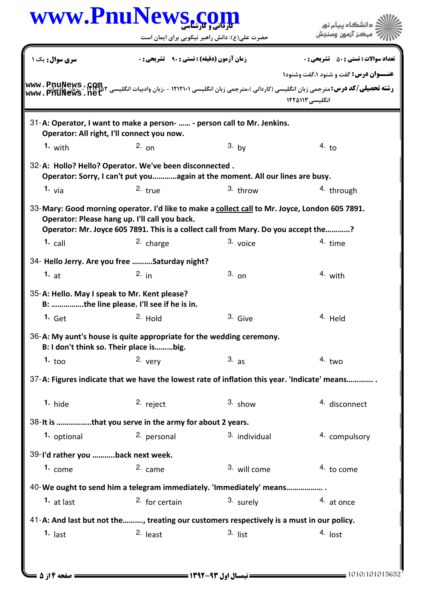|                                              | www.PnuNews.com                                                                                                                                                                                                                       |               |                                                                                                                                                                                                                                                                 |
|----------------------------------------------|---------------------------------------------------------------------------------------------------------------------------------------------------------------------------------------------------------------------------------------|---------------|-----------------------------------------------------------------------------------------------------------------------------------------------------------------------------------------------------------------------------------------------------------------|
|                                              | حضرت علی(ع): دانش راهبر نیکویی برای ایمان است                                                                                                                                                                                         |               | دانشڪاه پيام نور<br>مرڪز آزمون وسنڊش                                                                                                                                                                                                                            |
| سری سوال : یک ۱                              | <b>زمان آزمون (دقیقه) : تستی : 90 - تشریحی: 0</b>                                                                                                                                                                                     |               | <b>تعداد سوالات : تستي : 50 ٪ تشريحي : 0</b>                                                                                                                                                                                                                    |
|                                              |                                                                                                                                                                                                                                       |               | <b>عنــوان درس:</b> گفت و شنود ۱،گفت وشنود۱                                                                                                                                                                                                                     |
| www.PnuNews.ne                               |                                                                                                                                                                                                                                       |               | <b>رشته تحصیلی/کد درس:</b> مترجمی زبان انگلیسی (کاردانی )،مترجمی زبان انگلیسی ۱۲۱۲۱۰۱ - ،زبان وادبیات انگلیسی ۲۵۳۲۱۲ - ۱۲<br><b>رشته تحصیلی/کد درس:</b> مترجمی زبان انگلیسی (کاردانی )،مترجمی زبان انگلیسی ۱۲۱۲۱۰۱ - ،زبان وادبیات انگلیسی ۲<br>انگلیسی ۱۲۲۵۱۱۳ |
|                                              | 31-A: Operator, I want to make a person-  - person call to Mr. Jenkins.<br>Operator: All right, I'll connect you now.                                                                                                                 |               |                                                                                                                                                                                                                                                                 |
| 1. with                                      | $2.$ on                                                                                                                                                                                                                               | $3.$ by       | 4. t <sub>0</sub>                                                                                                                                                                                                                                               |
|                                              | 32-A: Hollo? Hello? Operator. We've been disconnected.<br>Operator: Sorry, I can't put youagain at the moment. All our lines are busy.                                                                                                |               |                                                                                                                                                                                                                                                                 |
| 1. $via$                                     | $2.$ true                                                                                                                                                                                                                             | $3.$ throw    | <sup>4</sup> through                                                                                                                                                                                                                                            |
|                                              | 33-Mary: Good morning operator. I'd like to make a collect call to Mr. Joyce, London 605 7891.<br>Operator: Please hang up. I'll call you back.<br>Operator: Mr. Joyce 605 7891. This is a collect call from Mary. Do you accept the? |               |                                                                                                                                                                                                                                                                 |
| $1.$ call                                    | 2. charge                                                                                                                                                                                                                             | 3. voice      | 4. time                                                                                                                                                                                                                                                         |
|                                              | 34- Hello Jerry. Are you free Saturday night?                                                                                                                                                                                         |               |                                                                                                                                                                                                                                                                 |
| 1. $at$                                      | 2. $in$                                                                                                                                                                                                                               | $3.$ on       | $4.$ with                                                                                                                                                                                                                                                       |
| 35-A: Hello. May I speak to Mr. Kent please? | B: the line please. I'll see if he is in.                                                                                                                                                                                             |               |                                                                                                                                                                                                                                                                 |
| 1. Get                                       | 2. Hold                                                                                                                                                                                                                               | 3. Give       | 4. Held                                                                                                                                                                                                                                                         |
|                                              | 36-A: My aunt's house is quite appropriate for the wedding ceremony.<br>B: I don't think so. Their place isbig.                                                                                                                       |               |                                                                                                                                                                                                                                                                 |
| 1. $\text{to}$                               | $2.$ very                                                                                                                                                                                                                             | 3. a s        | $4.$ two                                                                                                                                                                                                                                                        |
|                                              | 37-A: Figures indicate that we have the lowest rate of inflation this year. 'Indicate' means                                                                                                                                          |               |                                                                                                                                                                                                                                                                 |
| $1.$ hide                                    | 2. reject                                                                                                                                                                                                                             | $3.$ show     | 4. disconnect                                                                                                                                                                                                                                                   |
|                                              | 38- It is that you serve in the army for about 2 years.                                                                                                                                                                               |               |                                                                                                                                                                                                                                                                 |
| 1. optional                                  | 2. personal                                                                                                                                                                                                                           | 3. individual | 4. compulsory                                                                                                                                                                                                                                                   |
| 39-I'd rather you back next week.            |                                                                                                                                                                                                                                       |               |                                                                                                                                                                                                                                                                 |
| 1. $come$                                    | 2. came                                                                                                                                                                                                                               | 3. will come  | 4. to come                                                                                                                                                                                                                                                      |
|                                              | 40-We ought to send him a telegram immediately. 'Immediately' means                                                                                                                                                                   |               |                                                                                                                                                                                                                                                                 |
| $1.$ at last                                 | $2.$ for certain                                                                                                                                                                                                                      | 3. surely     | 4. at once                                                                                                                                                                                                                                                      |
|                                              | 41-A: And last but not the  , treating our customers respectively is a must in our policy.                                                                                                                                            |               |                                                                                                                                                                                                                                                                 |
| $1.$ last                                    | $2.$ least                                                                                                                                                                                                                            | $3.$ list     | 4. lost                                                                                                                                                                                                                                                         |
|                                              |                                                                                                                                                                                                                                       |               |                                                                                                                                                                                                                                                                 |